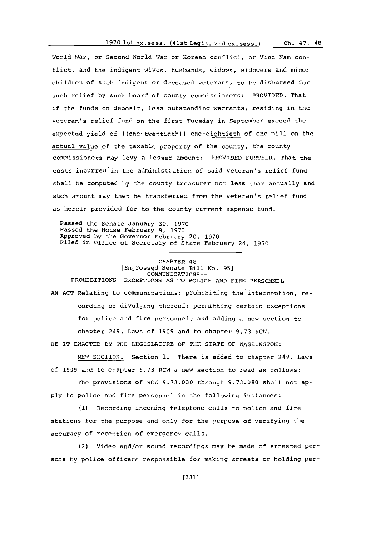World War, or Second World War or Korean conflict, or Viet Nam conflict, and the indigent wives, husbands, widows, widowers and minor children of such indigent or deceased veterans, to be disbursed for such relief **by** such board of county commissioners: PROVIDED, That if the funds on deposit, less outstanding warrants, residing in the veteran's relief fund on the first Tuesday in September exceed the expected yield of ((one-twentieth)) one-eightieth of one mill on the actual value of the taxable property of the county, the county commissioners may levy a lesser ampount: PROVIDED FURTHER, That the costs incurred in the administration of said veteran's relief fund shall be computed **by** the county treasurer not less than annually and such amount may then be transferred from the veteran's relief fund as herein provided for to the county current expense fund.

Passed the Senate January **30, 1970** Passed the House February **9, 1970** Approved **by** the Governor February 20, **1970** Filed in office of Secretary of State February 24, **1970**

## CHAPTER 48 [Engrossed Senate Bill No. **95]** COMMUNICATIONS--

PROHIBITIONS, EXCEPTIONS **AS** TO POLICE **AND** FIRE PERSONNEL **AN ACT** Relating to communications; prohibiting the interception, recording or divulging thereof; permitting certain exceptions for police and fire personnel; and adding a new section to chapter 249, Laws of **1909** and to chapter **9.73** RCW.

BE IT **ENACTED** BY THE LEGISLATURE OF THE **STATE** OF **WASHINGTON:**

**NEW** SECTION. Section **1.** There is added to chapter 249, Laws of **1909** and to chapter **9.73** RCW a new section to read as follows:

The provisions of RC;1 **9.73.030** through **9.73.080** shall not ap**ply** to police and fire personnel in the following instances:

**(1)** Recording incoming telephone calls to police and fire stations for the purpose and only for the purpose of verifying the accuracy of reception of emergency calls.

(2) Video and/or sound recordings may be made of arrested persons **by** police officers responsible for making arrests or holding per-